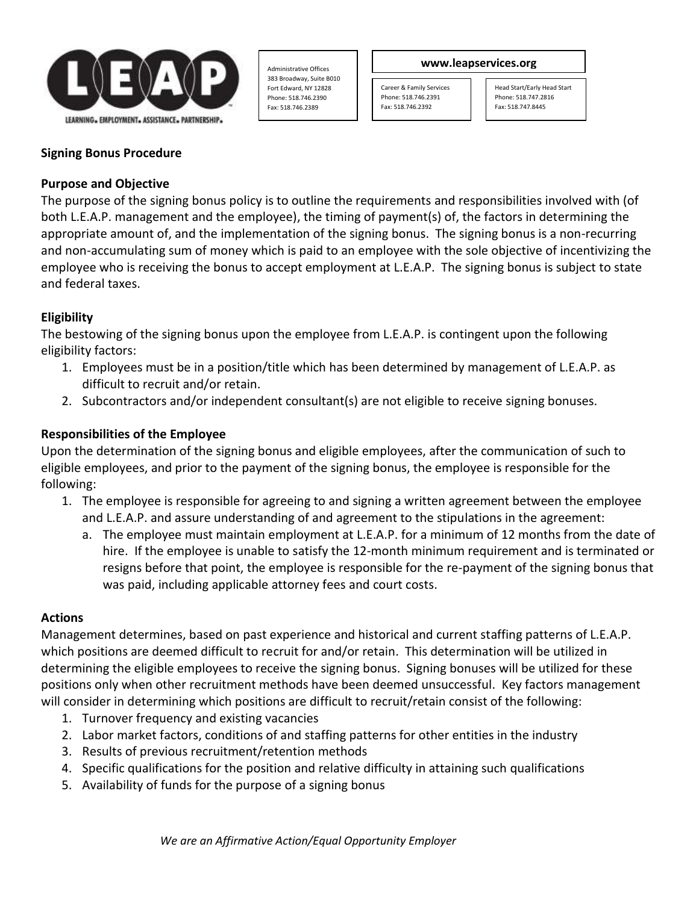

Administrative Offices 383 Broadway, Suite B010 Fort Edward, NY 12828 Phone: 518.746.2390 Fax: 518.746.2389

#### **www.leapservices.org**

Career & Family Services Phone: 518.746.2391 Fax: 518.746.2392

Head Start/Early Head Start Phone: 518.747.2816 Fax: 518.747.8445

# **Signing Bonus Procedure**

#### **Purpose and Objective**

The purpose of the signing bonus policy is to outline the requirements and responsibilities involved with (of both L.E.A.P. management and the employee), the timing of payment(s) of, the factors in determining the appropriate amount of, and the implementation of the signing bonus. The signing bonus is a non-recurring and non-accumulating sum of money which is paid to an employee with the sole objective of incentivizing the employee who is receiving the bonus to accept employment at L.E.A.P. The signing bonus is subject to state and federal taxes.

# **Eligibility**

The bestowing of the signing bonus upon the employee from L.E.A.P. is contingent upon the following eligibility factors:

- 1. Employees must be in a position/title which has been determined by management of L.E.A.P. as difficult to recruit and/or retain.
- 2. Subcontractors and/or independent consultant(s) are not eligible to receive signing bonuses.

# **Responsibilities of the Employee**

Upon the determination of the signing bonus and eligible employees, after the communication of such to eligible employees, and prior to the payment of the signing bonus, the employee is responsible for the following:

- 1. The employee is responsible for agreeing to and signing a written agreement between the employee and L.E.A.P. and assure understanding of and agreement to the stipulations in the agreement:
	- a. The employee must maintain employment at L.E.A.P. for a minimum of 12 months from the date of hire. If the employee is unable to satisfy the 12-month minimum requirement and is terminated or resigns before that point, the employee is responsible for the re-payment of the signing bonus that was paid, including applicable attorney fees and court costs.

# **Actions**

Management determines, based on past experience and historical and current staffing patterns of L.E.A.P. which positions are deemed difficult to recruit for and/or retain. This determination will be utilized in determining the eligible employees to receive the signing bonus. Signing bonuses will be utilized for these positions only when other recruitment methods have been deemed unsuccessful. Key factors management will consider in determining which positions are difficult to recruit/retain consist of the following:

- 1. Turnover frequency and existing vacancies
- 2. Labor market factors, conditions of and staffing patterns for other entities in the industry
- 3. Results of previous recruitment/retention methods
- 4. Specific qualifications for the position and relative difficulty in attaining such qualifications
- 5. Availability of funds for the purpose of a signing bonus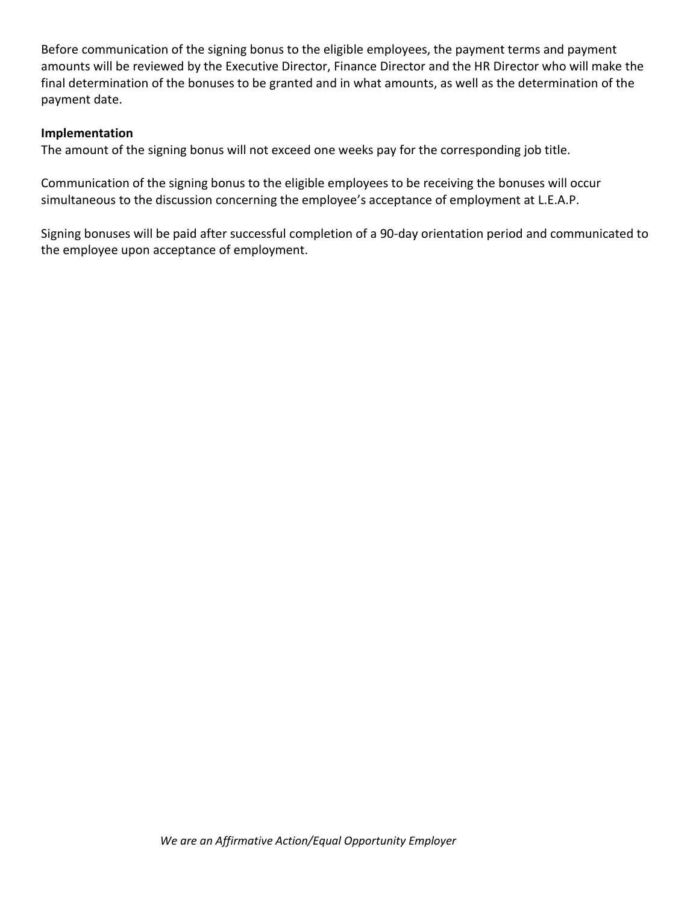Before communication of the signing bonus to the eligible employees, the payment terms and payment amounts will be reviewed by the Executive Director, Finance Director and the HR Director who will make the final determination of the bonuses to be granted and in what amounts, as well as the determination of the payment date.

#### **Implementation**

The amount of the signing bonus will not exceed one weeks pay for the corresponding job title.

Communication of the signing bonus to the eligible employees to be receiving the bonuses will occur simultaneous to the discussion concerning the employee's acceptance of employment at L.E.A.P.

Signing bonuses will be paid after successful completion of a 90-day orientation period and communicated to the employee upon acceptance of employment.